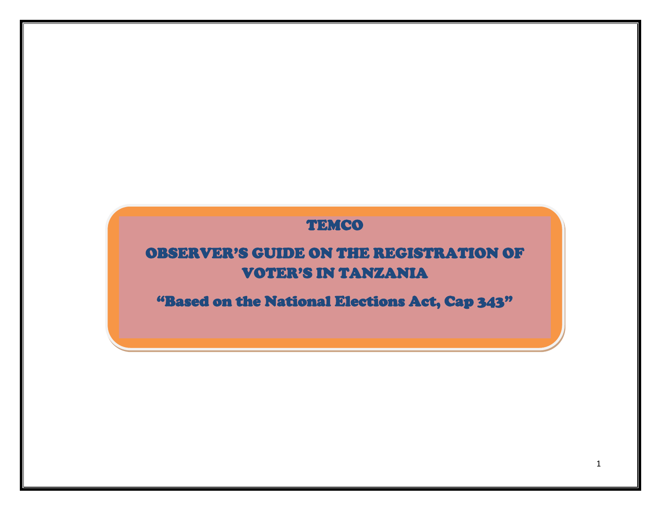## TEMCO

# OBSERVER'S GUIDE ON THE REGISTRATION OF VOTER'S IN TANZANIA

"Based on the National Elections Act, Cap 343"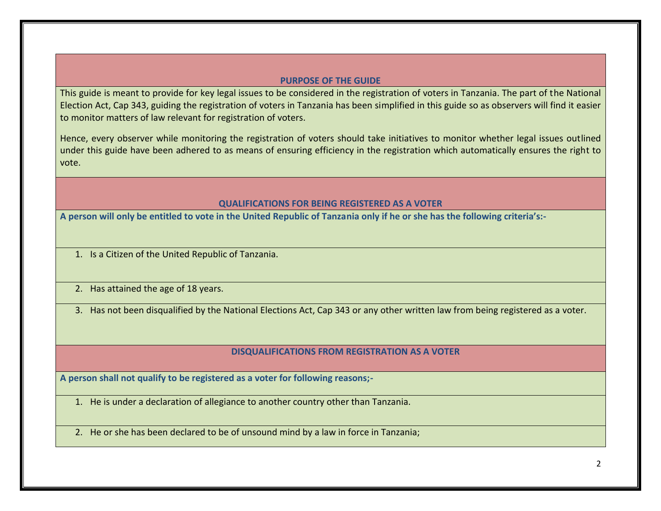### **PURPOSE OF THE GUIDE**

This guide is meant to provide for key legal issues to be considered in the registration of voters in Tanzania. The part of the National Election Act, Cap 343, guiding the registration of voters in Tanzania has been simplified in this guide so as observers will find it easier to monitor matters of law relevant for registration of voters.

Hence, every observer while monitoring the registration of voters should take initiatives to monitor whether legal issues outlined under this guide have been adhered to as means of ensuring efficiency in the registration which automatically ensures the right to vote.

#### **QUALIFICATIONS FOR BEING REGISTERED AS A VOTER**

**A person will only be entitled to vote in the United Republic of Tanzania only if he or she has the following criteria's:-**

- 1. Is a Citizen of the United Republic of Tanzania.
- 2. Has attained the age of 18 years.

3. Has not been disqualified by the National Elections Act, Cap 343 or any other written law from being registered as a voter.

#### **DISQUALIFICATIONS FROM REGISTRATION AS A VOTER**

**A person shall not qualify to be registered as a voter for following reasons;-**

- 1. He is under a declaration of allegiance to another country other than Tanzania.
- 2. He or she has been declared to be of unsound mind by a law in force in Tanzania;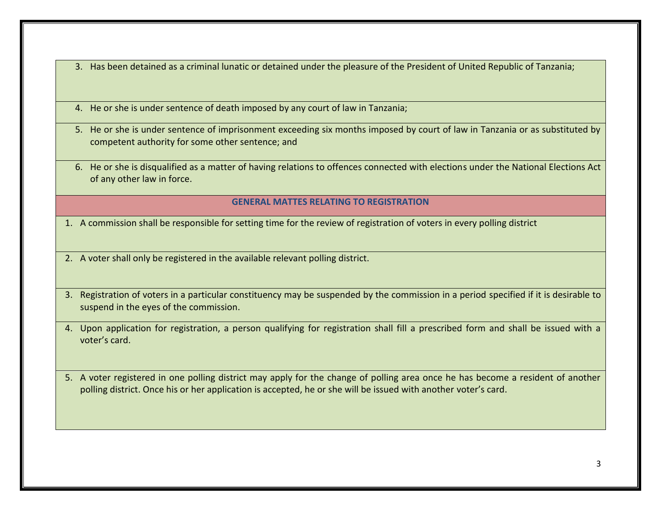- 3. Has been detained as a criminal lunatic or detained under the pleasure of the President of United Republic of Tanzania;
- 4. He or she is under sentence of death imposed by any court of law in Tanzania;
- 5. He or she is under sentence of imprisonment exceeding six months imposed by court of law in Tanzania or as substituted by competent authority for some other sentence; and
- 6. He or she is disqualified as a matter of having relations to offences connected with elections under the National Elections Act of any other law in force.

#### **GENERAL MATTES RELATING TO REGISTRATION**

- 1. A commission shall be responsible for setting time for the review of registration of voters in every polling district
- 2. A voter shall only be registered in the available relevant polling district.
- 3. Registration of voters in a particular constituency may be suspended by the commission in a period specified if it is desirable to suspend in the eyes of the commission.
- 4. Upon application for registration, a person qualifying for registration shall fill a prescribed form and shall be issued with a voter's card.
- 5. A voter registered in one polling district may apply for the change of polling area once he has become a resident of another polling district. Once his or her application is accepted, he or she will be issued with another voter's card.